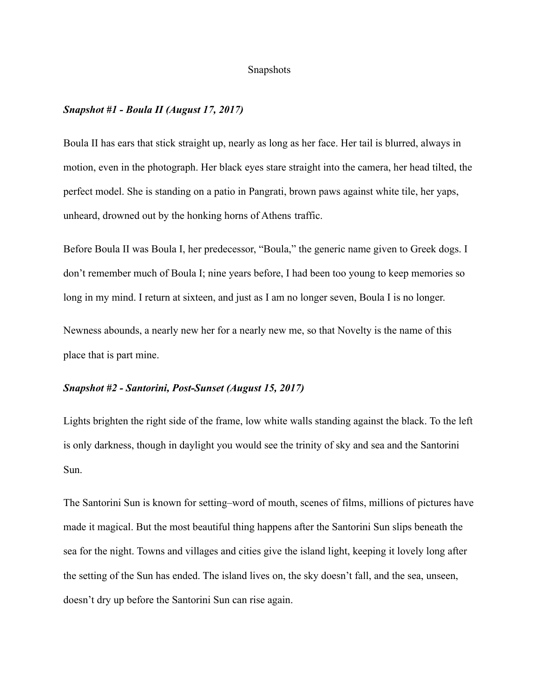### Snapshots

## *Snapshot #1 - Boula II (August 17, 2017)*

Boula II has ears that stick straight up, nearly as long as her face. Her tail is blurred, always in motion, even in the photograph. Her black eyes stare straight into the camera, her head tilted, the perfect model. She is standing on a patio in Pangrati, brown paws against white tile, her yaps, unheard, drowned out by the honking horns of Athens traffic.

Before Boula II was Boula I, her predecessor, "Boula," the generic name given to Greek dogs. I don't remember much of Boula I; nine years before, I had been too young to keep memories so long in my mind. I return at sixteen, and just as I am no longer seven, Boula I is no longer.

Newness abounds, a nearly new her for a nearly new me, so that Novelty is the name of this place that is part mine.

## *Snapshot #2 - Santorini, Post-Sunset (August 15, 2017)*

Lights brighten the right side of the frame, low white walls standing against the black. To the left is only darkness, though in daylight you would see the trinity of sky and sea and the Santorini Sun.

The Santorini Sun is known for setting–word of mouth, scenes of films, millions of pictures have made it magical. But the most beautiful thing happens after the Santorini Sun slips beneath the sea for the night. Towns and villages and cities give the island light, keeping it lovely long after the setting of the Sun has ended. The island lives on, the sky doesn't fall, and the sea, unseen, doesn't dry up before the Santorini Sun can rise again.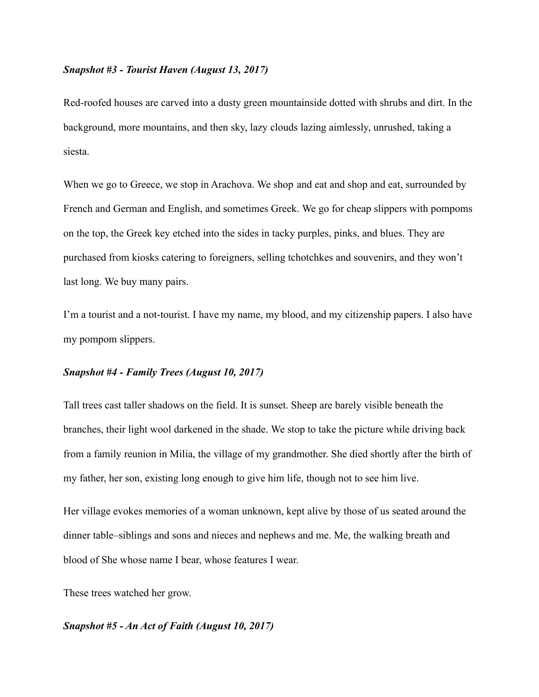## *Snapshot #3 - Tourist Haven (August 13, 2017)*

Red-roofed houses are carved into a dusty green mountainside dotted with shrubs and dirt. In the background, more mountains, and then sky, lazy clouds lazing aimlessly, unrushed, taking a siesta.

When we go to Greece, we stop in Arachova. We shop and eat and shop and eat, surrounded by French and German and English, and sometimes Greek. We go for cheap slippers with pompoms on the top, the Greek key etched into the sides in tacky purples, pinks, and blues. They are purchased from kiosks catering to foreigners, selling tchotchkes and souvenirs, and they won't last long. We buy many pairs.

I'm a tourist and a not-tourist. I have my name, my blood, and my citizenship papers. I also have my pompom slippers.

### *Snapshot #4 - Family Trees (August 10, 2017)*

Tall trees cast taller shadows on the field. It is sunset. Sheep are barely visible beneath the branches, their light wool darkened in the shade. We stop to take the picture while driving back from a family reunion in Milia, the village of my grandmother. She died shortly after the birth of my father, her son, existing long enough to give him life, though not to see him live.

Her village evokes memories of a woman unknown, kept alive by those of us seated around the dinner table–siblings and sons and nieces and nephews and me. Me, the walking breath and blood of She whose name I bear, whose features I wear.

These trees watched her grow.

# *Snapshot #5 - An Act of Faith (August 10, 2017)*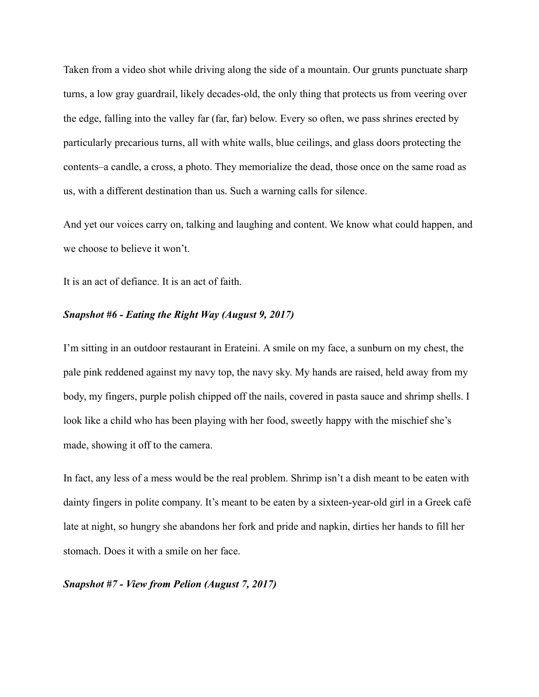Taken from a video shot while driving along the side of a mountain. Our grunts punctuate sharp turns, a low gray guardrail, likely decades-old, the only thing that protects us from veering over the edge, falling into the valley far (far, far) below. Every so often, we pass shrines erected by particularly precarious turns, all with white walls, blue ceilings, and glass doors protecting the contents–a candle, a cross, a photo. They memorialize the dead, those once on the same road as us, with a different destination than us. Such a warning calls for silence.

And yet our voices carry on, talking and laughing and content. We know what could happen, and we choose to believe it won't.

It is an act of defiance. It is an act of faith.

# *Snapshot #6 - Eating the Right Way (August 9, 2017)*

I'm sitting in an outdoor restaurant in Erateini. A smile on my face, a sunburn on my chest, the pale pink reddened against my navy top, the navy sky. My hands are raised, held away from my body, my fingers, purple polish chipped off the nails, covered in pasta sauce and shrimp shells. I look like a child who has been playing with her food, sweetly happy with the mischief she's made, showing it off to the camera.

In fact, any less of a mess would be the real problem. Shrimp isn't a dish meant to be eaten with dainty fingers in polite company. It's meant to be eaten by a sixteen-year-old girl in a Greek café late at night, so hungry she abandons her fork and pride and napkin, dirties her hands to fill her stomach. Does it with a smile on her face.

### *Snapshot #7 - View from Pelion (August 7, 2017)*